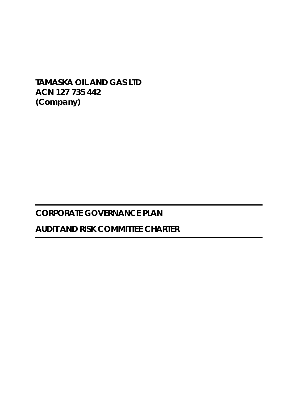**TAMASKA OIL AND GAS LTD ACN 127 735 442 (Company)** 

# **CORPORATE GOVERNANCE PLAN**

# **AUDIT AND RISK COMMITTEE CHARTER**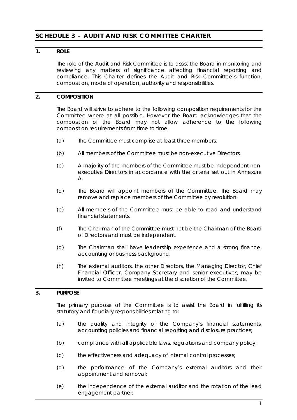# **SCHEDULE 3 – AUDIT AND RISK COMMITTEE CHARTER**

# **1. ROLE**

The role of the Audit and Risk Committee is to assist the Board in monitoring and reviewing any matters of significance affecting financial reporting and compliance. This Charter defines the Audit and Risk Committee's function, composition, mode of operation, authority and responsibilities.

# **2. COMPOSITION**

The Board will strive to adhere to the following composition requirements for the Committee where at all possible. However the Board acknowledges that the composition of the Board may not allow adherence to the following composition requirements from time to time.

- (a) The Committee must comprise at least three members.
- (b) All members of the Committee must be non-executive Directors.
- (c) A majority of the members of the Committee must be independent nonexecutive Directors in accordance with the criteria set out in Annexure A.
- (d) The Board will appoint members of the Committee. The Board may remove and replace members of the Committee by resolution.
- (e) All members of the Committee must be able to read and understand financial statements.
- (f) The Chairman of the Committee must not be the Chairman of the Board of Directors and must be independent.
- (g) The Chairman shall have leadership experience and a strong finance, accounting or business background.
- (h) The external auditors, the other Directors, the Managing Director, Chief Financial Officer, Company Secretary and senior executives, may be invited to Committee meetings at the discretion of the Committee.

# **3. PURPOSE**

The primary purpose of the Committee is to assist the Board in fulfilling its statutory and fiduciary responsibilities relating to:

- (a) the quality and integrity of the Company's financial statements, accounting policies and financial reporting and disclosure practices;
- (b) compliance with all applicable laws, regulations and company policy;
- (c) the effectiveness and adequacy of internal control processes;
- (d) the performance of the Company's external auditors and their appointment and removal;
- (e) the independence of the external auditor and the rotation of the lead engagement partner;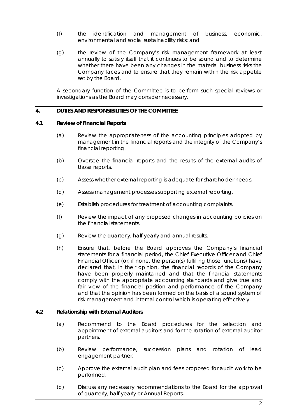- (f) the identification and management of business, economic, environmental and social sustainability risks; and
- (g) the review of the Company's risk management framework at least annually to satisfy itself that it continues to be sound and to determine whether there have been any changes in the material business risks the Company faces and to ensure that they remain within the risk appetite set by the Board.

A secondary function of the Committee is to perform such special reviews or investigations as the Board may consider necessary.

### **4. DUTIES AND RESPONSIBILITIES OF THE COMMITTEE**

# **4.1 Review of Financial Reports**

- (a) Review the appropriateness of the accounting principles adopted by management in the financial reports and the integrity of the Company's financial reporting.
- (b) Oversee the financial reports and the results of the external audits of those reports.
- (c) Assess whether external reporting is adequate for shareholder needs.
- (d) Assess management processes supporting external reporting.
- (e) Establish procedures for treatment of accounting complaints.
- (f) Review the impact of any proposed changes in accounting policies on the financial statements.
- (g) Review the quarterly, half yearly and annual results.
- (h) Ensure that, before the Board approves the Company's financial statements for a financial period, the Chief Executive Officer and Chief Financial Officer (or, if none, the person(s) fulfilling those functions) have declared that, in their opinion, the financial records of the Company have been properly maintained and that the financial statements comply with the appropriate accounting standards and give true and fair view of the financial position and performance of the Company and that the opinion has been formed on the basis of a sound system of risk management and internal control which is operating effectively.

#### **4.2 Relationship with External Auditors**

- (a) Recommend to the Board procedures for the selection and appointment of external auditors and for the rotation of external auditor partners.
- (b) Review performance, succession plans and rotation of lead engagement partner.
- (c) Approve the external audit plan and fees proposed for audit work to be performed.
- (d) Discuss any necessary recommendations to the Board for the approval of quarterly, half yearly or Annual Reports.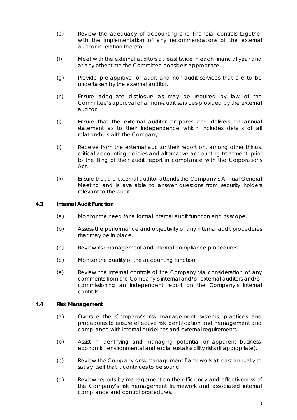- (e) Review the adequacy of accounting and financial controls together with the implementation of any recommendations of the external auditor in relation thereto.
- (f) Meet with the external auditors at least twice in each financial year and at any other time the Committee considers appropriate.
- (g) Provide pre-approval of audit and non-audit services that are to be undertaken by the external auditor.
- (h) Ensure adequate disclosure as may be required by law of the Committee's approval of all non-audit services provided by the external auditor.
- (i) Ensure that the external auditor prepares and delivers an annual statement as to their independence which includes details of all relationships with the Company.
- (j) Receive from the external auditor their report on, among other things, critical accounting policies and alternative accounting treatment, prior to the filing of their audit report in compliance with the Corporations Act.
- (k) Ensure that the external auditor attends the Company's Annual General Meeting and is available to answer questions from security holders relevant to the audit.

# **4.3 Internal Audit Function**

- (a) Monitor the need for a formal internal audit function and its scope.
- (b) Assess the performance and objectivity of any internal audit procedures that may be in place.
- (c) Review risk management and internal compliance procedures.
- (d) Monitor the quality of the accounting function.
- (e) Review the internal controls of the Company via consideration of any comments from the Company's internal and/or external auditors and/or commissioning an independent report on the Company's internal controls.

# **4.4 Risk Management**

- (a) Oversee the Company's risk management systems, practices and procedures to ensure effective risk identification and management and compliance with internal guidelines and external requirements.
- (b) Assist in identifying and managing potential or apparent business, economic, environmental and social sustainability risks (if appropriate).
- (c) Review the Company's risk management framework at least annually to satisfy itself that it continues to be sound.
- (d) Review reports by management on the efficiency and effectiveness of the Company's risk management framework and associated internal compliance and control procedures.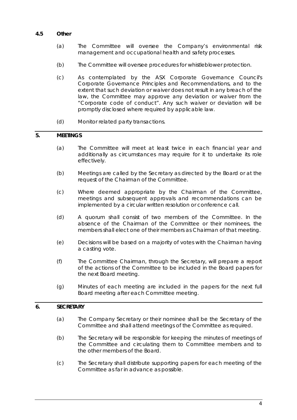# **4.5 Other**

- (a) The Committee will oversee the Company's environmental risk management and occupational health and safety processes.
- (b) The Committee will oversee procedures for whistleblower protection.
- (c) As contemplated by the ASX Corporate Governance Council's *Corporate Governance Principles and Recommendations*, and to the extent that such deviation or waiver does not result in any breach of the law, the Committee may approve any deviation or waiver from the "*Corporate code of conduct*". Any such waiver or deviation will be promptly disclosed where required by applicable law.
- (d) Monitor related party transactions.

# **5. MEETINGS**

- (a) The Committee will meet at least twice in each financial year and additionally as circumstances may require for it to undertake its role effectively.
- (b) Meetings are called by the Secretary as directed by the Board or at the request of the Chairman of the Committee.
- (c) Where deemed appropriate by the Chairman of the Committee, meetings and subsequent approvals and recommendations can be implemented by a circular written resolution or conference call.
- (d) A quorum shall consist of two members of the Committee. In the absence of the Chairman of the Committee or their nominees, the members shall elect one of their members as Chairman of that meeting.
- (e) Decisions will be based on a majority of votes with the Chairman having a casting vote.
- (f) The Committee Chairman, through the Secretary, will prepare a report of the actions of the Committee to be included in the Board papers for the next Board meeting.
- (g) Minutes of each meeting are included in the papers for the next full Board meeting after each Committee meeting.

#### **6. SECRETARY**

- (a) The Company Secretary or their nominee shall be the Secretary of the Committee and shall attend meetings of the Committee as required.
- (b) The Secretary will be responsible for keeping the minutes of meetings of the Committee and circulating them to Committee members and to the other members of the Board.
- (c) The Secretary shall distribute supporting papers for each meeting of the Committee as far in advance as possible.